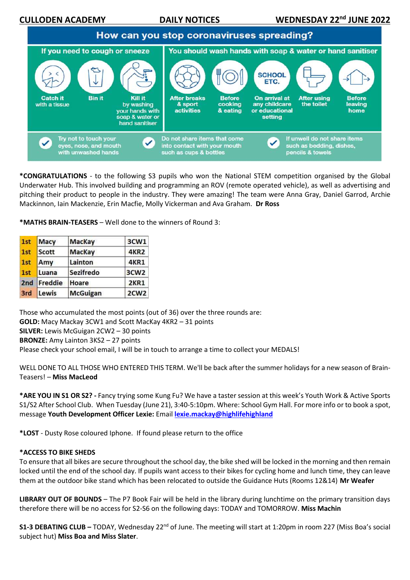**CULLODEN ACADEMY** DAILY NOTICES



**\*CONGRATULATIONS** - to the following S3 pupils who won the National STEM competition organised by the Global Underwater Hub. This involved building and programming an ROV (remote operated vehicle), as well as advertising and pitching their product to people in the industry. They were amazing! The team were Anna Gray, Daniel Garrod, Archie Mackinnon, Iain Mackenzie, Erin Macfie, Molly Vickerman and Ava Graham. **Dr Ross**

**\*MATHS BRAIN-TEASERS** – Well done to the winners of Round 3:

| 1st | Macy    | <b>MacKay</b>   | 3CW1             |
|-----|---------|-----------------|------------------|
| 1st | Scott   | <b>MacKay</b>   | <b>4KR2</b>      |
| 1st | Amy     | Lainton         | 4KR1             |
| 1st | Luana   | Sezifredo       | 3CW <sub>2</sub> |
| 2nd | Freddie | Hoare           | <b>2KR1</b>      |
| 3rd | Lewis   | <b>McGuigan</b> | 2CW <sub>2</sub> |

Those who accumulated the most points (out of 36) over the three rounds are: **GOLD:** Macy Mackay 3CW1 and Scott MacKay 4KR2 – 31 points **SILVER:** Lewis McGuigan 2CW2 – 30 points **BRONZE:** Amy Lainton 3KS2 – 27 points Please check your school email, I will be in touch to arrange a time to collect your MEDALS!

WELL DONE TO ALL THOSE WHO ENTERED THIS TERM. We'll be back after the summer holidays for a new season of Brain-Teasers! – **Miss MacLeod**

**\*ARE YOU IN S1 OR S2? -** Fancy trying some Kung Fu? We have a taster session at this week's Youth Work & Active Sports S1/S2 After School Club. When Tuesday (June 21), 3:40-5:10pm. Where: School Gym Hall. For more info or to book a spot, message **Youth Development Officer Lexie:** Email **[lexie.mackay@highlifehighland](mailto:lexie.mackay@highlifehighland)**

**\*LOST** - Dusty Rose coloured Iphone. If found please return to the office

## **\*ACCESS TO BIKE SHEDS**

To ensure that all bikes are secure throughout the school day, the bike shed will be locked in the morning and then remain locked until the end of the school day. If pupils want access to their bikes for cycling home and lunch time, they can leave them at the outdoor bike stand which has been relocated to outside the Guidance Huts (Rooms 12&14) **Mr Weafer**

**LIBRARY OUT OF BOUNDS** – The P7 Book Fair will be held in the library during lunchtime on the primary transition days therefore there will be no access for S2-S6 on the following days: TODAY and TOMORROW. **Miss Machin**

**S1-3 DEBATING CLUB –** TODAY, Wednesday 22nd of June. The meeting will start at 1:20pm in room 227 (Miss Boa's social subject hut) **Miss Boa and Miss Slater**.